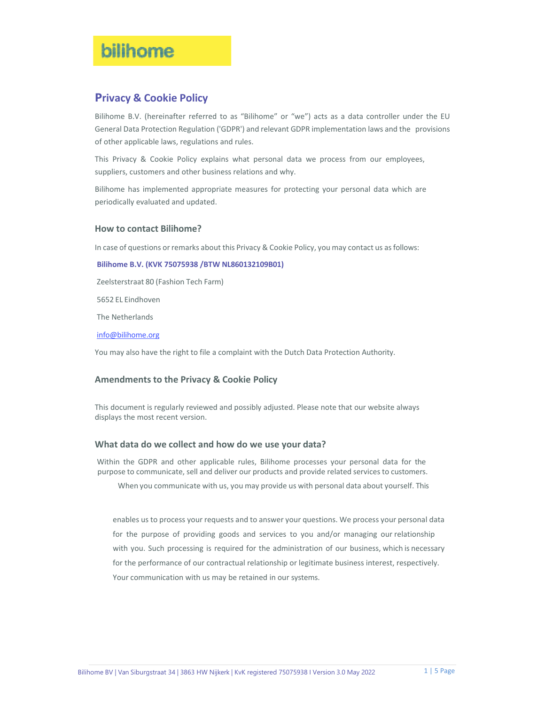# bilhome

# **Privacy & Cookie Policy**

Bilihome B.V. (hereinafter referred to as "Bilihome" or "we") acts as a data controller under the EU General Data Protection Regulation ('GDPR') and relevant GDPR implementation laws and the provisions of other applicable laws, regulations and rules.

This Privacy & Cookie Policy explains what personal data we process from our employees, suppliers, customers and other business relations and why.

Bilihome has implemented appropriate measures for protecting your personal data which are periodically evaluated and updated.

#### **How to contact Bilihome?**

In case of questions or remarks about this Privacy & Cookie Policy, you may contact us asfollows:

#### **Bilihome B.V. (KVK 75075938 /BTW NL860132109B01)**

Zeelsterstraat 80 (Fashion Tech Farm)

5652 EL Eindhoven

The Netherlands

info@bilihome.org

You may also have the right to file a complaint with the Dutch Data Protection Authority.

### **Amendments to the Privacy & Cookie Policy**

This document is regularly reviewed and possibly adjusted. Please note that our website always displays the most recent version.

#### **What data do we collect and how do we use your data?**

Within the GDPR and other applicable rules, Bilihome processes your personal data for the purpose to communicate, sell and deliver our products and provide related services to customers.

When you communicate with us, you may provide us with personal data about yourself. This

enables us to process your requests and to answer your questions. We process your personal data for the purpose of providing goods and services to you and/or managing our relationship with you. Such processing is required for the administration of our business, which is necessary for the performance of our contractual relationship or legitimate business interest, respectively. Your communication with us may be retained in our systems.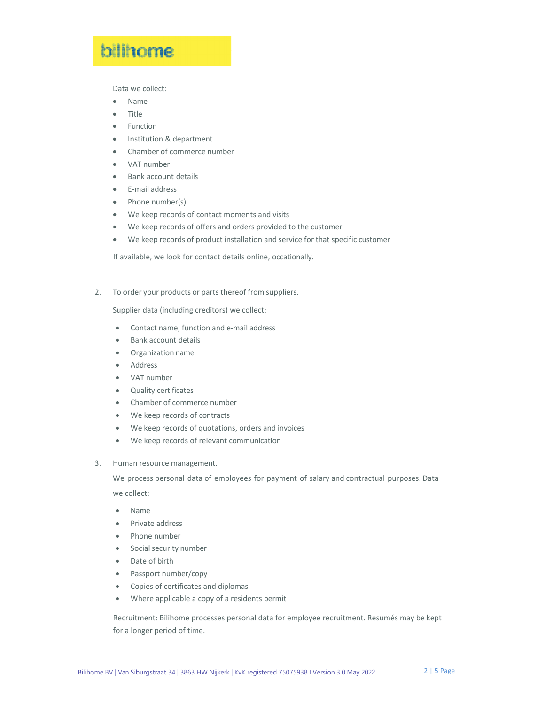# bilihome

Data we collect:

- Name
- Title
- **•** Function
- Institution & department
- Chamber of commerce number
- VAT number
- Bank account details
- E‐mail address
- Phone number(s)
- We keep records of contact moments and visits
- We keep records of offers and orders provided to the customer
- We keep records of product installation and service for that specific customer

If available, we look for contact details online, occationally.

2. To order your products or parts thereof from suppliers.

Supplier data (including creditors) we collect:

- Contact name, function and e-mail address
- Bank account details
- Organization name
- Address
- VAT number
- Quality certificates
- Chamber of commerce number
- We keep records of contracts
- We keep records of quotations, orders and invoices
- We keep records of relevant communication
- 3. Human resource management.

We process personal data of employees for payment of salary and contractual purposes. Data we collect:

- Name
- Private address
- Phone number
- Social security number
- Date of birth
- Passport number/copy
- Copies of certificates and diplomas
- Where applicable a copy of a residents permit

Recruitment: Bilihome processes personal data for employee recruitment. Resumés may be kept for a longer period of time.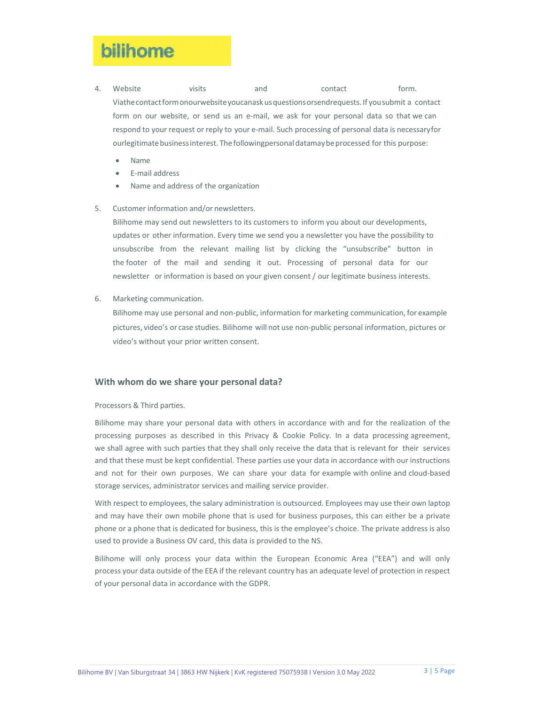# bilinome

- 4. Website visits and contact form. Viathecontactformonourwebsiteyoucanask usquestionsorsendrequests. If yousubmit a contact form on our website, or send us an e-mail, we ask for your personal data so that we can respond to your request or reply to your e-mail. Such processing of personal data is necessaryfor ourlegitimate business interest. The followingpersonal datamay be processed for this purpose:
	- Name
	- E‐mail address
	- Name and address of the organization

#### 5. Customer information and/or newsletters.

Bilihome may send out newsletters to its customers to inform you about our developments, updates or other information. Every time we send you a newsletter you have the possibility to unsubscribe from the relevant mailing list by clicking the "unsubscribe" button in the footer of the mail and sending it out. Processing of personal data for our newsletter or information is based on your given consent / our legitimate business interests.

6. Marketing communication.

Bilihome may use personal and non‐public, information for marketing communication, for example pictures, video's or case studies. Bilihome will not use non‐public personal information, pictures or video's without your prior written consent.

#### **With whom do we share your personal data?**

Processors & Third parties.

Bilihome may share your personal data with others in accordance with and for the realization of the processing purposes as described in this Privacy & Cookie Policy. In a data processing agreement, we shall agree with such parties that they shall only receive the data that is relevant for their services and that these must be kept confidential. These parties use your data in accordance with our instructions and not for their own purposes. We can share your data for example with online and cloud‐based storage services, administrator services and mailing service provider.

With respect to employees, the salary administration is outsourced. Employees may use their own laptop and may have their own mobile phone that is used for business purposes, this can either be a private phone or a phone that is dedicated for business, this is the employee's choice. The private address is also used to provide a Business OV card, this data is provided to the NS.

Bilihome will only process your data within the European Economic Area ("EEA") and will only process your data outside of the EEA if the relevant country has an adequate level of protection in respect of your personal data in accordance with the GDPR.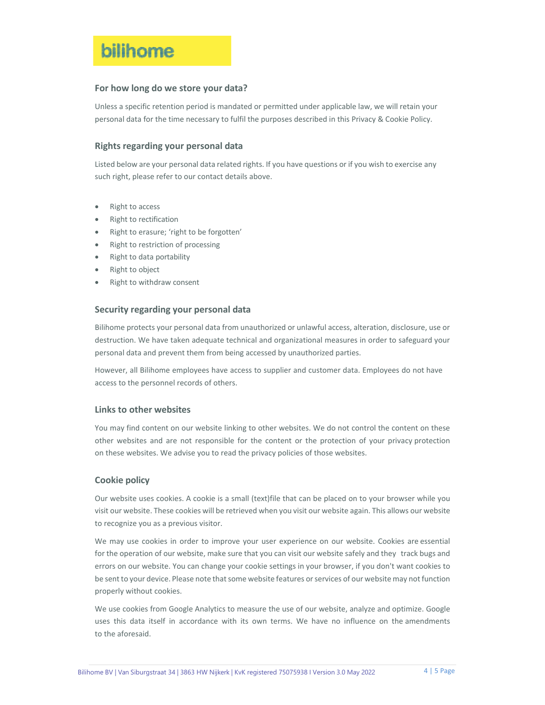# bilihome

## **For how long do we store your data?**

Unless a specific retention period is mandated or permitted under applicable law, we will retain your personal data for the time necessary to fulfil the purposes described in this Privacy & Cookie Policy.

# **Rights regarding your personal data**

Listed below are your personal data related rights. If you have questions or if you wish to exercise any such right, please refer to our contact details above.

- Right to access
- Right to rectification
- Right to erasure; 'right to be forgotten'
- Right to restriction of processing
- Right to data portability
- Right to object
- Right to withdraw consent

### **Security regarding your personal data**

Bilihome protects your personal data from unauthorized or unlawful access, alteration, disclosure, use or destruction. We have taken adequate technical and organizational measures in order to safeguard your personal data and prevent them from being accessed by unauthorized parties.

However, all Bilihome employees have access to supplier and customer data. Employees do not have access to the personnel records of others.

### **Links to other websites**

You may find content on our website linking to other websites. We do not control the content on these other websites and are not responsible for the content or the protection of your privacy protection on these websites. We advise you to read the privacy policies of those websites.

### **Cookie policy**

Our website uses cookies. A cookie is a small (text)file that can be placed on to your browser while you visit our website. These cookies will be retrieved when you visit our website again. This allows our website to recognize you as a previous visitor.

We may use cookies in order to improve your user experience on our website. Cookies are essential for the operation of our website, make sure that you can visit our website safely and they track bugs and errors on our website. You can change your cookie settings in your browser, if you don't want cookies to be sent to your device. Please note that some website features or services of our website may not function properly without cookies.

We use cookies from Google Analytics to measure the use of our website, analyze and optimize. Google uses this data itself in accordance with its own terms. We have no influence on the amendments to the aforesaid.